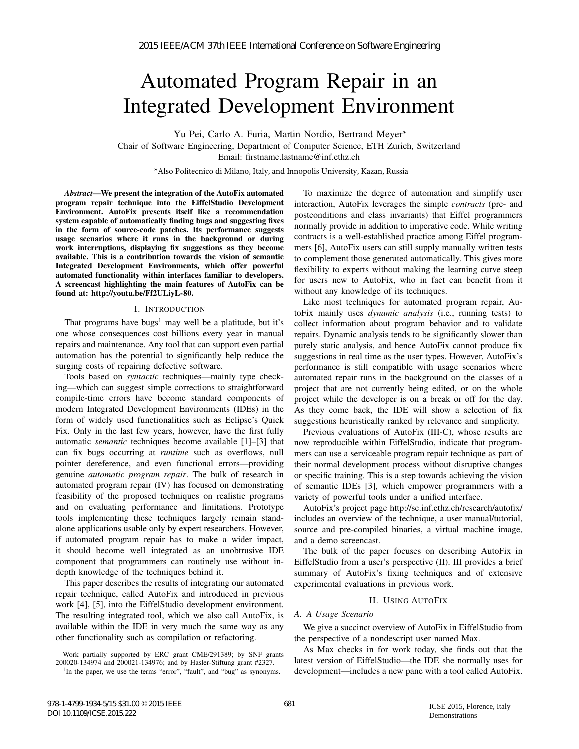# Automated Program Repair in an Integrated Development Environment

Yu Pei, Carlo A. Furia, Martin Nordio, Bertrand Meyer\* Chair of Software Engineering, Department of Computer Science, ETH Zurich, Switzerland Email: firstname.lastname@inf.ethz.ch

\*Also Politecnico di Milano, Italy, and Innopolis University, Kazan, Russia

*Abstract*—We present the integration of the AutoFix automated program repair technique into the EiffelStudio Development Environment. AutoFix presents itself like a recommendation system capable of automatically finding bugs and suggesting fixes in the form of source-code patches. Its performance suggests usage scenarios where it runs in the background or during work interruptions, displaying fix suggestions as they become available. This is a contribution towards the vision of semantic Integrated Development Environments, which offer powerful automated functionality within interfaces familiar to developers. A screencast highlighting the main features of AutoFix can be found at: http://youtu.be/Ff2ULiyL-80.

## I. INTRODUCTION

That programs have bugs<sup>1</sup> may well be a platitude, but it's one whose consequences cost billions every year in manual repairs and maintenance. Any tool that can support even partial automation has the potential to significantly help reduce the surging costs of repairing defective software.

Tools based on *syntactic* techniques—mainly type checking—which can suggest simple corrections to straightforward compile-time errors have become standard components of modern Integrated Development Environments (IDEs) in the form of widely used functionalities such as Eclipse's Quick Fix. Only in the last few years, however, have the first fully automatic *semantic* techniques become available [1]–[3] that can fix bugs occurring at *runtime* such as overflows, null pointer dereference, and even functional errors—providing genuine *automatic program repair*. The bulk of research in automated program repair (IV) has focused on demonstrating feasibility of the proposed techniques on realistic programs and on evaluating performance and limitations. Prototype tools implementing these techniques largely remain standalone applications usable only by expert researchers. However, if automated program repair has to make a wider impact, it should become well integrated as an unobtrusive IDE component that programmers can routinely use without indepth knowledge of the techniques behind it.

This paper describes the results of integrating our automated repair technique, called AutoFix and introduced in previous work [4], [5], into the EiffelStudio development environment. The resulting integrated tool, which we also call AutoFix, is available within the IDE in very much the same way as any other functionality such as compilation or refactoring.

Work partially supported by ERC grant CME/291389; by SNF grants 200020-134974 and 200021-134976; and by Hasler-Stiftung grant #2327.

<sup>1</sup>In the paper, we use the terms "error", "fault", and "bug" as synonyms.

To maximize the degree of automation and simplify user interaction, AutoFix leverages the simple *contracts* (pre- and postconditions and class invariants) that Eiffel programmers normally provide in addition to imperative code. While writing contracts is a well-established practice among Eiffel programmers [6], AutoFix users can still supply manually written tests to complement those generated automatically. This gives more flexibility to experts without making the learning curve steep for users new to AutoFix, who in fact can benefit from it without any knowledge of its techniques.

Like most techniques for automated program repair, AutoFix mainly uses *dynamic analysis* (i.e., running tests) to collect information about program behavior and to validate repairs. Dynamic analysis tends to be significantly slower than purely static analysis, and hence AutoFix cannot produce fix suggestions in real time as the user types. However, AutoFix's performance is still compatible with usage scenarios where automated repair runs in the background on the classes of a project that are not currently being edited, or on the whole project while the developer is on a break or off for the day. As they come back, the IDE will show a selection of fix suggestions heuristically ranked by relevance and simplicity.

Previous evaluations of AutoFix (III-C), whose results are now reproducible within EiffelStudio, indicate that programmers can use a serviceable program repair technique as part of their normal development process without disruptive changes or specific training. This is a step towards achieving the vision of semantic IDEs [3], which empower programmers with a variety of powerful tools under a unified interface.

AutoFix's project page http://se.inf.ethz.ch/research/autofix/ includes an overview of the technique, a user manual/tutorial, source and pre-compiled binaries, a virtual machine image, and a demo screencast.

The bulk of the paper focuses on describing AutoFix in EiffelStudio from a user's perspective (II). III provides a brief summary of AutoFix's fixing techniques and of extensive experimental evaluations in previous work.

#### II. USING AUTOFIX

## *A. A Usage Scenario*

We give a succinct overview of AutoFix in EiffelStudio from the perspective of a nondescript user named Max.

As Max checks in for work today, she finds out that the latest version of EiffelStudio—the IDE she normally uses for development—includes a new pane with a tool called AutoFix.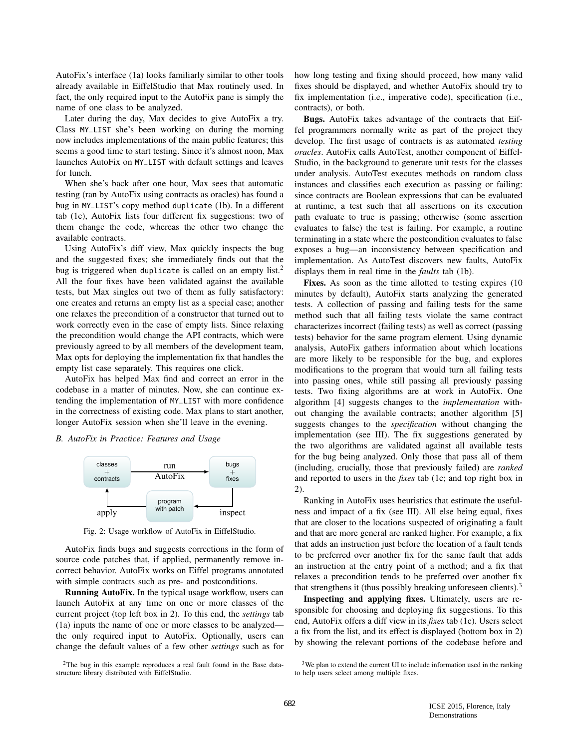AutoFix's interface (1a) looks familiarly similar to other tools already available in EiffelStudio that Max routinely used. In fact, the only required input to the AutoFix pane is simply the name of one class to be analyzed.

Later during the day, Max decides to give AutoFix a try. Class MY\_LIST she's been working on during the morning now includes implementations of the main public features; this seems a good time to start testing. Since it's almost noon, Max launches AutoFix on MY\_LIST with default settings and leaves for lunch.

When she's back after one hour, Max sees that automatic testing (ran by AutoFix using contracts as oracles) has found a bug in MY\_LIST's copy method duplicate (1b). In a different tab (1c), AutoFix lists four different fix suggestions: two of them change the code, whereas the other two change the available contracts.

Using AutoFix's diff view, Max quickly inspects the bug and the suggested fixes; she immediately finds out that the bug is triggered when duplicate is called on an empty list.<sup>2</sup> All the four fixes have been validated against the available tests, but Max singles out two of them as fully satisfactory: one creates and returns an empty list as a special case; another one relaxes the precondition of a constructor that turned out to work correctly even in the case of empty lists. Since relaxing the precondition would change the API contracts, which were previously agreed to by all members of the development team, Max opts for deploying the implementation fix that handles the empty list case separately. This requires one click.

AutoFix has helped Max find and correct an error in the codebase in a matter of minutes. Now, she can continue extending the implementation of MY\_LIST with more confidence in the correctness of existing code. Max plans to start another, longer AutoFix session when she'll leave in the evening.

#### *B. AutoFix in Practice: Features and Usage*



Fig. 2: Usage workflow of AutoFix in EiffelStudio.

AutoFix finds bugs and suggests corrections in the form of source code patches that, if applied, permanently remove incorrect behavior. AutoFix works on Eiffel programs annotated with simple contracts such as pre- and postconditions.

Running AutoFix. In the typical usage workflow, users can launch AutoFix at any time on one or more classes of the current project (top left box in 2). To this end, the *settings* tab (1a) inputs the name of one or more classes to be analyzed the only required input to AutoFix. Optionally, users can change the default values of a few other *settings* such as for

<sup>2</sup>The bug in this example reproduces a real fault found in the Base datastructure library distributed with EiffelStudio.

how long testing and fixing should proceed, how many valid fixes should be displayed, and whether AutoFix should try to fix implementation (i.e., imperative code), specification (i.e., contracts), or both.

Bugs. AutoFix takes advantage of the contracts that Eiffel programmers normally write as part of the project they develop. The first usage of contracts is as automated *testing oracles*. AutoFix calls AutoTest, another component of Eiffel-Studio, in the background to generate unit tests for the classes under analysis. AutoTest executes methods on random class instances and classifies each execution as passing or failing: since contracts are Boolean expressions that can be evaluated at runtime, a test such that all assertions on its execution path evaluate to true is passing; otherwise (some assertion evaluates to false) the test is failing. For example, a routine terminating in a state where the postcondition evaluates to false exposes a bug—an inconsistency between specification and implementation. As AutoTest discovers new faults, AutoFix displays them in real time in the *faults* tab (1b).

Fixes. As soon as the time allotted to testing expires (10 minutes by default), AutoFix starts analyzing the generated tests. A collection of passing and failing tests for the same method such that all failing tests violate the same contract characterizes incorrect (failing tests) as well as correct (passing tests) behavior for the same program element. Using dynamic analysis, AutoFix gathers information about which locations are more likely to be responsible for the bug, and explores modifications to the program that would turn all failing tests into passing ones, while still passing all previously passing tests. Two fixing algorithms are at work in AutoFix. One algorithm [4] suggests changes to the *implementation* without changing the available contracts; another algorithm [5] suggests changes to the *specification* without changing the implementation (see III). The fix suggestions generated by the two algorithms are validated against all available tests for the bug being analyzed. Only those that pass all of them (including, crucially, those that previously failed) are *ranked* and reported to users in the *fixes* tab (1c; and top right box in 2).

Ranking in AutoFix uses heuristics that estimate the usefulness and impact of a fix (see III). All else being equal, fixes that are closer to the locations suspected of originating a fault and that are more general are ranked higher. For example, a fix that adds an instruction just before the location of a fault tends to be preferred over another fix for the same fault that adds an instruction at the entry point of a method; and a fix that relaxes a precondition tends to be preferred over another fix that strengthens it (thus possibly breaking unforeseen clients).<sup>3</sup>

Inspecting and applying fixes. Ultimately, users are responsible for choosing and deploying fix suggestions. To this end, AutoFix offers a diff view in its *fixes* tab (1c). Users select a fix from the list, and its effect is displayed (bottom box in 2) by showing the relevant portions of the codebase before and

 $3\%$  We plan to extend the current UI to include information used in the ranking to help users select among multiple fixes.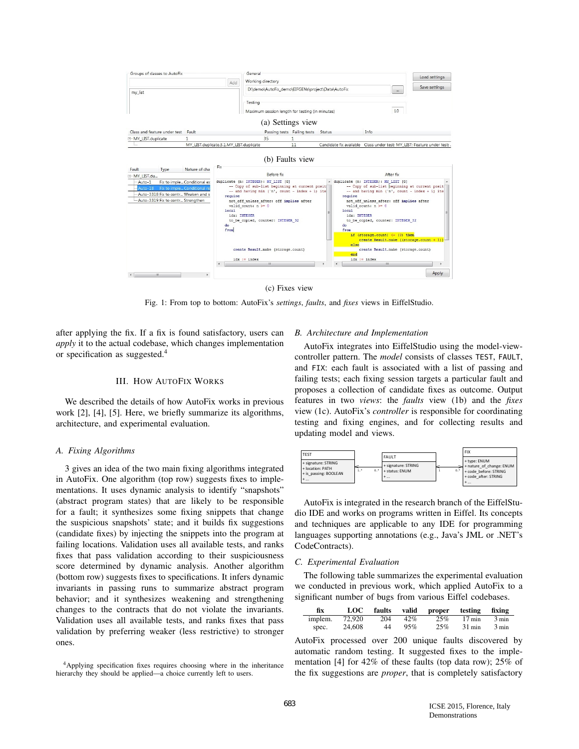

(c) Fixes view

Fig. 1: From top to bottom: AutoFix's *settings*, *faults*, and *fixes* views in EiffelStudio.

after applying the fix. If a fix is found satisfactory, users can *apply* it to the actual codebase, which changes implementation or specification as suggested.<sup>4</sup>

#### III. HOW AUTOFIX WORKS

We described the details of how AutoFix works in previous work [2], [4], [5]. Here, we briefly summarize its algorithms, architecture, and experimental evaluation.

## *A. Fixing Algorithms*

3 gives an idea of the two main fixing algorithms integrated in AutoFix. One algorithm (top row) suggests fixes to implementations. It uses dynamic analysis to identify "snapshots" (abstract program states) that are likely to be responsible for a fault; it synthesizes some fixing snippets that change the suspicious snapshots' state; and it builds fix suggestions (candidate fixes) by injecting the snippets into the program at failing locations. Validation uses all available tests, and ranks fixes that pass validation according to their suspiciousness score determined by dynamic analysis. Another algorithm (bottom row) suggests fixes to specifications. It infers dynamic invariants in passing runs to summarize abstract program behavior; and it synthesizes weakening and strengthening changes to the contracts that do not violate the invariants. Validation uses all available tests, and ranks fixes that pass validation by preferring weaker (less restrictive) to stronger ones.

# *B. Architecture and Implementation*

AutoFix integrates into EiffelStudio using the model-viewcontroller pattern. The *model* consists of classes TEST, FAULT, and FIX: each fault is associated with a list of passing and failing tests; each fixing session targets a particular fault and proposes a collection of candidate fixes as outcome. Output features in two *views*: the *faults* view (1b) and the *fixes* view (1c). AutoFix's *controller* is responsible for coordinating testing and fixing engines, and for collecting results and updating model and views.



AutoFix is integrated in the research branch of the EiffelStudio IDE and works on programs written in Eiffel. Its concepts and techniques are applicable to any IDE for programming languages supporting annotations (e.g., Java's JML or .NET's CodeContracts).

# *C. Experimental Evaluation*

The following table summarizes the experimental evaluation we conducted in previous work, which applied AutoFix to a significant number of bugs from various Eiffel codebases.

| fix     | LOC    |     |     | faults valid proper testing fixing |                  |                 |
|---------|--------|-----|-----|------------------------------------|------------------|-----------------|
| implem. | 72.920 | 204 | 42% | $25\%$                             | $17 \text{ min}$ | $3 \text{ min}$ |
| spec.   | 24,608 | 44  | 95% | 25%                                | $31 \text{ min}$ | 3 min           |

AutoFix processed over 200 unique faults discovered by automatic random testing. It suggested fixes to the implementation [4] for 42% of these faults (top data row); 25% of the fix suggestions are *proper*, that is completely satisfactory

<sup>4</sup>Applying specification fixes requires choosing where in the inheritance hierarchy they should be applied—a choice currently left to users.